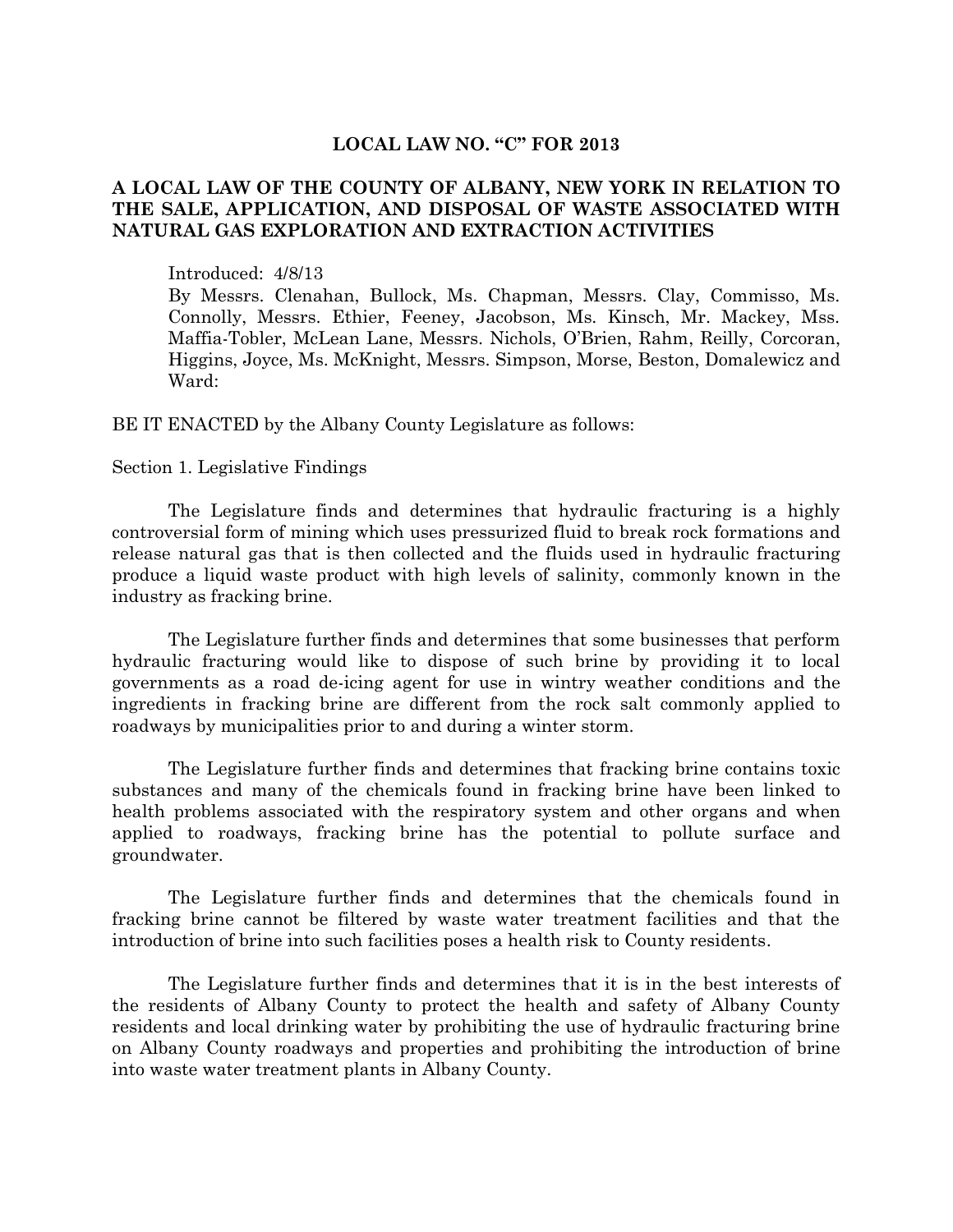## **LOCAL LAW NO. "C" FOR 2013**

## **A LOCAL LAW OF THE COUNTY OF ALBANY, NEW YORK IN RELATION TO THE SALE, APPLICATION, AND DISPOSAL OF WASTE ASSOCIATED WITH NATURAL GAS EXPLORATION AND EXTRACTION ACTIVITIES**

Introduced: 4/8/13

By Messrs. Clenahan, Bullock, Ms. Chapman, Messrs. Clay, Commisso, Ms. Connolly, Messrs. Ethier, Feeney, Jacobson, Ms. Kinsch, Mr. Mackey, Mss. Maffia-Tobler, McLean Lane, Messrs. Nichols, O'Brien, Rahm, Reilly, Corcoran, Higgins, Joyce, Ms. McKnight, Messrs. Simpson, Morse, Beston, Domalewicz and Ward:

BE IT ENACTED by the Albany County Legislature as follows:

## Section 1. Legislative Findings

The Legislature finds and determines that hydraulic fracturing is a highly controversial form of mining which uses pressurized fluid to break rock formations and release natural gas that is then collected and the fluids used in hydraulic fracturing produce a liquid waste product with high levels of salinity, commonly known in the industry as fracking brine.

The Legislature further finds and determines that some businesses that perform hydraulic fracturing would like to dispose of such brine by providing it to local governments as a road de-icing agent for use in wintry weather conditions and the ingredients in fracking brine are different from the rock salt commonly applied to roadways by municipalities prior to and during a winter storm.

The Legislature further finds and determines that fracking brine contains toxic substances and many of the chemicals found in fracking brine have been linked to health problems associated with the respiratory system and other organs and when applied to roadways, fracking brine has the potential to pollute surface and groundwater.

The Legislature further finds and determines that the chemicals found in fracking brine cannot be filtered by waste water treatment facilities and that the introduction of brine into such facilities poses a health risk to County residents.

The Legislature further finds and determines that it is in the best interests of the residents of Albany County to protect the health and safety of Albany County residents and local drinking water by prohibiting the use of hydraulic fracturing brine on Albany County roadways and properties and prohibiting the introduction of brine into waste water treatment plants in Albany County.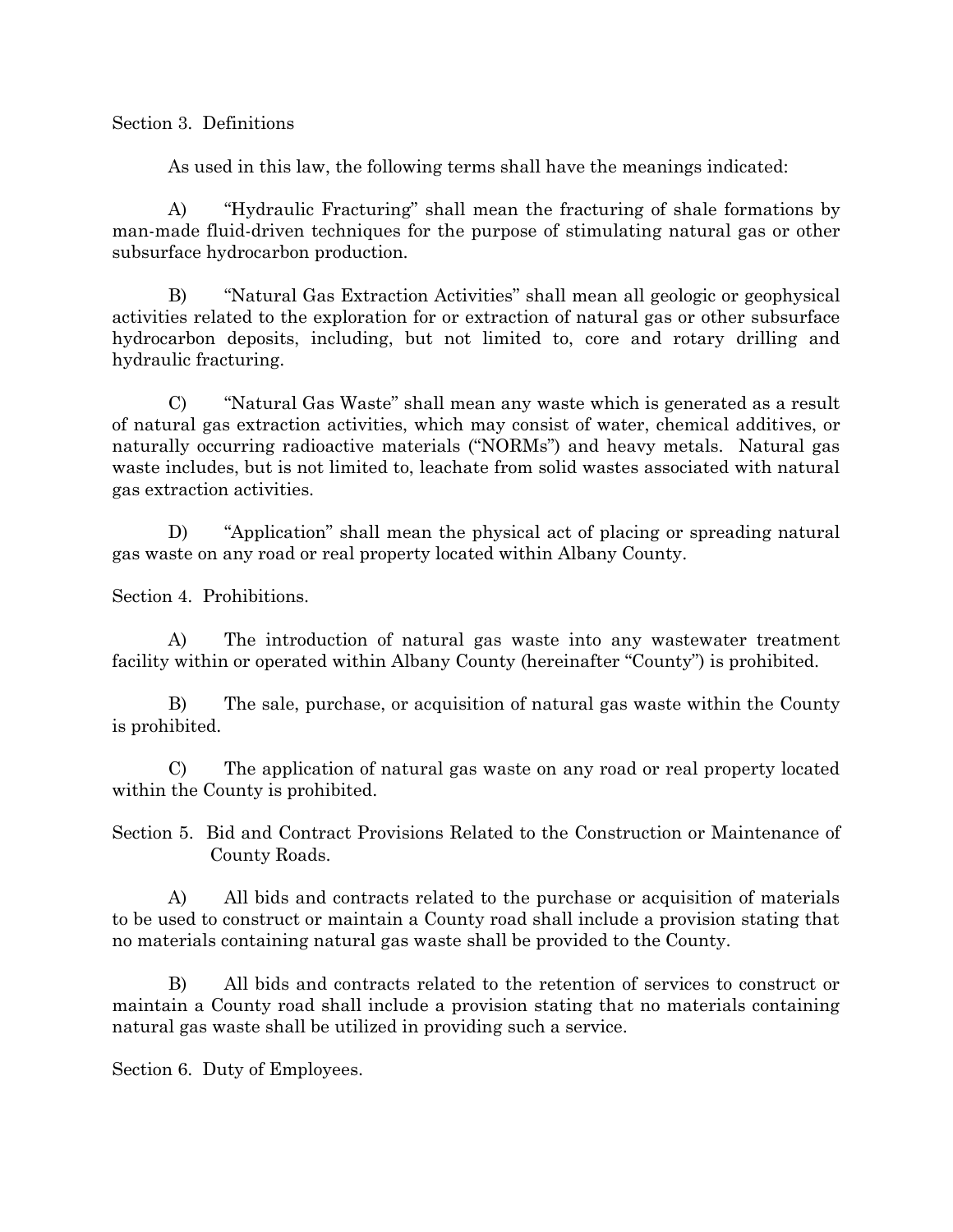Section 3. Definitions

As used in this law, the following terms shall have the meanings indicated:

A) "Hydraulic Fracturing" shall mean the fracturing of shale formations by man-made fluid-driven techniques for the purpose of stimulating natural gas or other subsurface hydrocarbon production.

B) "Natural Gas Extraction Activities" shall mean all geologic or geophysical activities related to the exploration for or extraction of natural gas or other subsurface hydrocarbon deposits, including, but not limited to, core and rotary drilling and hydraulic fracturing.

C) "Natural Gas Waste" shall mean any waste which is generated as a result of natural gas extraction activities, which may consist of water, chemical additives, or naturally occurring radioactive materials ("NORMs") and heavy metals. Natural gas waste includes, but is not limited to, leachate from solid wastes associated with natural gas extraction activities.

D) "Application" shall mean the physical act of placing or spreading natural gas waste on any road or real property located within Albany County.

Section 4. Prohibitions.

A) The introduction of natural gas waste into any wastewater treatment facility within or operated within Albany County (hereinafter "County") is prohibited.

B) The sale, purchase, or acquisition of natural gas waste within the County is prohibited.

C) The application of natural gas waste on any road or real property located within the County is prohibited.

Section 5. Bid and Contract Provisions Related to the Construction or Maintenance of County Roads.

A) All bids and contracts related to the purchase or acquisition of materials to be used to construct or maintain a County road shall include a provision stating that no materials containing natural gas waste shall be provided to the County.

B) All bids and contracts related to the retention of services to construct or maintain a County road shall include a provision stating that no materials containing natural gas waste shall be utilized in providing such a service.

Section 6. Duty of Employees.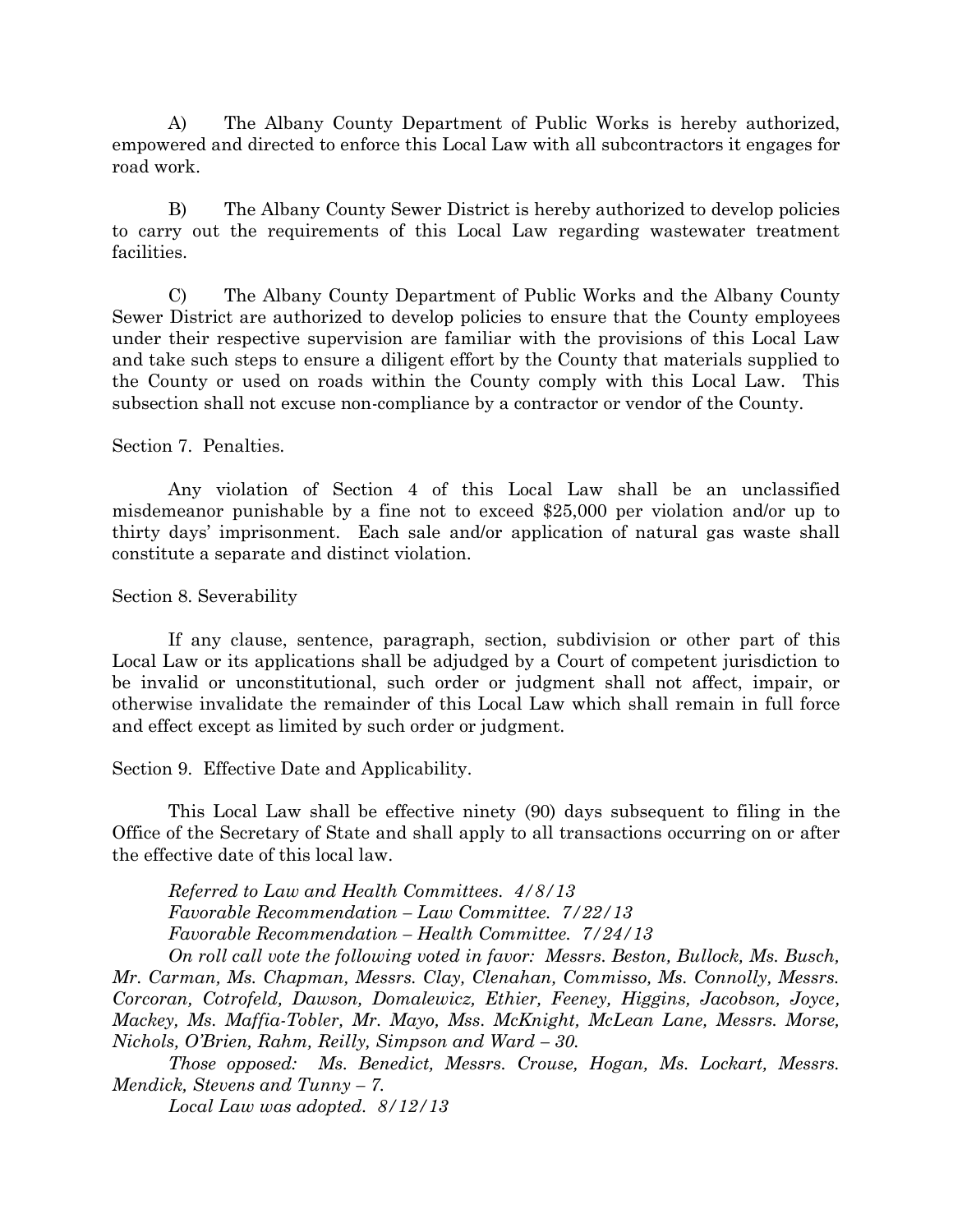A) The Albany County Department of Public Works is hereby authorized, empowered and directed to enforce this Local Law with all subcontractors it engages for road work.

B) The Albany County Sewer District is hereby authorized to develop policies to carry out the requirements of this Local Law regarding wastewater treatment facilities.

C) The Albany County Department of Public Works and the Albany County Sewer District are authorized to develop policies to ensure that the County employees under their respective supervision are familiar with the provisions of this Local Law and take such steps to ensure a diligent effort by the County that materials supplied to the County or used on roads within the County comply with this Local Law. This subsection shall not excuse non-compliance by a contractor or vendor of the County.

Section 7. Penalties.

Any violation of Section 4 of this Local Law shall be an unclassified misdemeanor punishable by a fine not to exceed \$25,000 per violation and/or up to thirty days' imprisonment. Each sale and/or application of natural gas waste shall constitute a separate and distinct violation.

Section 8. Severability

If any clause, sentence, paragraph, section, subdivision or other part of this Local Law or its applications shall be adjudged by a Court of competent jurisdiction to be invalid or unconstitutional, such order or judgment shall not affect, impair, or otherwise invalidate the remainder of this Local Law which shall remain in full force and effect except as limited by such order or judgment.

Section 9. Effective Date and Applicability.

This Local Law shall be effective ninety (90) days subsequent to filing in the Office of the Secretary of State and shall apply to all transactions occurring on or after the effective date of this local law.

*Referred to Law and Health Committees. 4/8/13 Favorable Recommendation – Law Committee. 7/22/13 Favorable Recommendation – Health Committee. 7/24/13*

*On roll call vote the following voted in favor: Messrs. Beston, Bullock, Ms. Busch, Mr. Carman, Ms. Chapman, Messrs. Clay, Clenahan, Commisso, Ms. Connolly, Messrs. Corcoran, Cotrofeld, Dawson, Domalewicz, Ethier, Feeney, Higgins, Jacobson, Joyce, Mackey, Ms. Maffia-Tobler, Mr. Mayo, Mss. McKnight, McLean Lane, Messrs. Morse, Nichols, O'Brien, Rahm, Reilly, Simpson and Ward – 30.*

*Those opposed: Ms. Benedict, Messrs. Crouse, Hogan, Ms. Lockart, Messrs. Mendick, Stevens and Tunny – 7.*

*Local Law was adopted. 8/12/13*